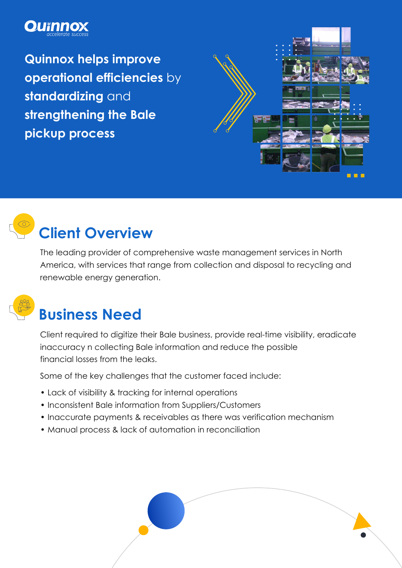### **OU**Thno

**Quinnox helps improve operational efficiencies** by **standardizing** and **strengthening the Bale pickup process**





# **Client Overview**

The leading provider of comprehensive waste management services in North America, with services that range from collection and disposal to recycling and renewable energy generation.



## **Business Need**

Client required to digitize their Bale business, provide real-time visibility, eradicate inaccuracy n collecting Bale information and reduce the possible financial losses from the leaks.

Some of the key challenges that the customer faced include:

- Lack of visibility & tracking for internal operations
- Inconsistent Bale information from Suppliers/Customers
- Inaccurate payments & receivables as there was verification mechanism
- Manual process & lack of automation in reconciliation